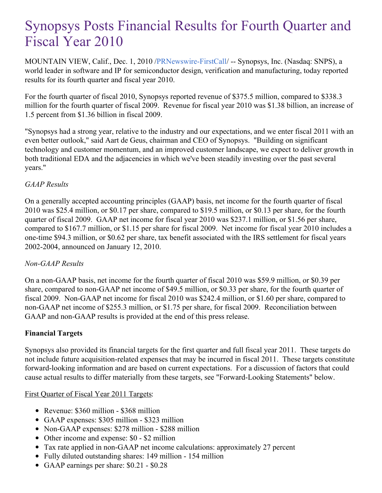# Synopsys Posts Financial Results for Fourth Quarter and Fiscal Year 2010

MOUNTAIN VIEW, Calif., Dec. 1, 2010 [/PRNewswire-FirstCall](http://www.prnewswire.com/)/ -- Synopsys, Inc. (Nasdaq: SNPS), a world leader in software and IP for semiconductor design, verification and manufacturing, today reported results for its fourth quarter and fiscal year 2010.

For the fourth quarter of fiscal 2010, Synopsys reported revenue of \$375.5 million, compared to \$338.3 million for the fourth quarter of fiscal 2009. Revenue for fiscal year 2010 was \$1.38 billion, an increase of 1.5 percent from \$1.36 billion in fiscal 2009.

"Synopsys had a strong year, relative to the industry and our expectations, and we enter fiscal 2011 with an even better outlook," said Aart de Geus, chairman and CEO of Synopsys. "Building on significant technology and customer momentum, and an improved customer landscape, we expect to deliver growth in both traditional EDA and the adjacencies in which we've been steadily investing over the past several years."

#### *GAAP Results*

On a generally accepted accounting principles (GAAP) basis, net income for the fourth quarter of fiscal 2010 was \$25.4 million, or \$0.17 per share, compared to \$19.5 million, or \$0.13 per share, for the fourth quarter of fiscal 2009. GAAP net income for fiscal year 2010 was \$237.1 million, or \$1.56 per share, compared to \$167.7 million, or \$1.15 per share for fiscal 2009. Net income for fiscal year 2010 includes a one-time \$94.3 million, or \$0.62 per share, tax benefit associated with the IRS settlement for fiscal years 2002-2004, announced on January 12, 2010.

#### *Non-GAAP Results*

On a non-GAAP basis, net income for the fourth quarter of fiscal 2010 was \$59.9 million, or \$0.39 per share, compared to non-GAAP net income of \$49.5 million, or \$0.33 per share, for the fourth quarter of fiscal 2009. Non-GAAP net income for fiscal 2010 was \$242.4 million, or \$1.60 per share, compared to non-GAAP net income of \$255.3 million, or \$1.75 per share, for fiscal 2009. Reconciliation between GAAP and non-GAAP results is provided at the end of this press release.

#### **Financial Targets**

Synopsys also provided its financial targets for the first quarter and full fiscal year 2011. These targets do not include future acquisition-related expenses that may be incurred in fiscal 2011. These targets constitute forward-looking information and are based on current expectations. For a discussion of factors that could cause actual results to differ materially from these targets, see "Forward-Looking Statements" below.

#### First Quarter of Fiscal Year 2011 Targets:

- Revenue: \$360 million \$368 million
- GAAP expenses: \$305 million \$323 million
- Non-GAAP expenses: \$278 million \$288 million
- Other income and expense: \$0 \$2 million
- Tax rate applied in non-GAAP net income calculations: approximately 27 percent
- Fully diluted outstanding shares: 149 million 154 million
- GAAP earnings per share: \$0.21 \$0.28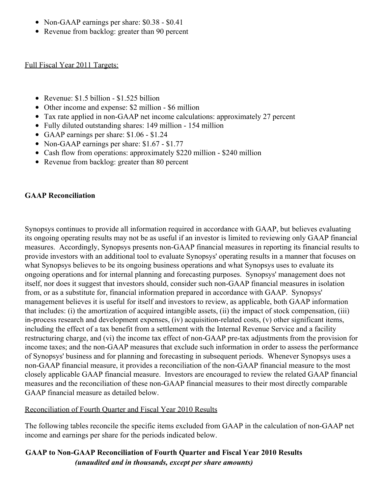- Non-GAAP earnings per share: \$0.38 \$0.41
- Revenue from backlog: greater than 90 percent

Full Fiscal Year 2011 Targets:

- Revenue: \$1.5 billion \$1.525 billion
- Other income and expense: \$2 million \$6 million
- Tax rate applied in non-GAAP net income calculations: approximately 27 percent
- Fully diluted outstanding shares: 149 million 154 million
- GAAP earnings per share: \$1.06 \$1.24
- Non-GAAP earnings per share: \$1.67 \$1.77
- Cash flow from operations: approximately \$220 million \$240 million
- Revenue from backlog: greater than 80 percent

#### **GAAP Reconciliation**

Synopsys continues to provide all information required in accordance with GAAP, but believes evaluating its ongoing operating results may not be as useful if an investor is limited to reviewing only GAAP financial measures. Accordingly, Synopsys presents non-GAAP financial measures in reporting its financial results to provide investors with an additional tool to evaluate Synopsys' operating results in a manner that focuses on what Synopsys believes to be its ongoing business operations and what Synopsys uses to evaluate its ongoing operations and for internal planning and forecasting purposes. Synopsys' management does not itself, nor does it suggest that investors should, consider such non-GAAP financial measures in isolation from, or as a substitute for, financial information prepared in accordance with GAAP. Synopsys' management believes it is useful for itself and investors to review, as applicable, both GAAP information that includes: (i) the amortization of acquired intangible assets, (ii) the impact of stock compensation, (iii) in-process research and development expenses, (iv) acquisition-related costs, (v) other significant items, including the effect of a tax benefit from a settlement with the Internal Revenue Service and a facility restructuring charge, and (vi) the income tax effect of non-GAAP pre-tax adjustments from the provision for income taxes; and the non-GAAP measures that exclude such information in order to assess the performance of Synopsys' business and for planning and forecasting in subsequent periods. Whenever Synopsys uses a non-GAAP financial measure, it provides a reconciliation of the non-GAAP financial measure to the most closely applicable GAAP financial measure. Investors are encouraged to review the related GAAP financial measures and the reconciliation of these non-GAAP financial measures to their most directly comparable GAAP financial measure as detailed below.

#### Reconciliation of Fourth Quarter and Fiscal Year 2010 Results

The following tables reconcile the specific items excluded from GAAP in the calculation of non-GAAP net income and earnings per share for the periods indicated below.

#### **GAAP to Non-GAAP Reconciliation of Fourth Quarter and Fiscal Year 2010 Results** *(unaudited and in thousands, except per share amounts)*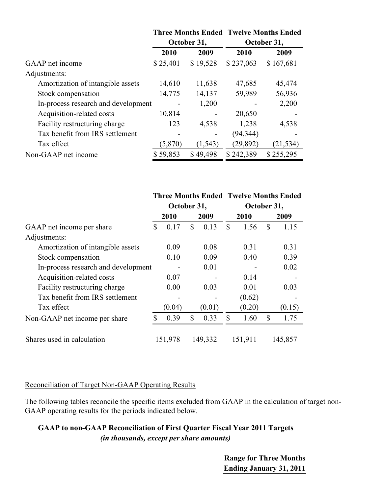|                                     | <b>Three Months Ended Twelve Months Ended</b><br>October 31, |          |             |           |  |  |
|-------------------------------------|--------------------------------------------------------------|----------|-------------|-----------|--|--|
|                                     |                                                              |          | October 31, |           |  |  |
|                                     | 2010                                                         | 2009     | 2010        | 2009      |  |  |
| GAAP net income                     | \$25,401                                                     | \$19,528 | \$237,063   | \$167,681 |  |  |
| Adjustments:                        |                                                              |          |             |           |  |  |
| Amortization of intangible assets   | 14,610                                                       | 11,638   | 47,685      | 45,474    |  |  |
| Stock compensation                  | 14,775                                                       | 14,137   | 59,989      | 56,936    |  |  |
| In-process research and development |                                                              | 1,200    |             | 2,200     |  |  |
| Acquisition-related costs           | 10,814                                                       |          | 20,650      |           |  |  |
| Facility restructuring charge       | 123                                                          | 4,538    | 1,238       | 4,538     |  |  |
| Tax benefit from IRS settlement     |                                                              |          | (94, 344)   |           |  |  |
| Tax effect                          | (5,870)                                                      | (1, 543) | (29, 892)   | (21, 534) |  |  |
| Non-GAAP net income                 | \$59,853                                                     | \$49,498 | \$242,389   | \$255,295 |  |  |

|                                     |             |         |             |    |         | <b>Three Months Ended Twelve Months Ended</b> |
|-------------------------------------|-------------|---------|-------------|----|---------|-----------------------------------------------|
|                                     | October 31, |         | October 31, |    |         |                                               |
|                                     |             | 2010    | 2009        |    | 2010    | 2009                                          |
| GAAP net income per share           | \$          | 0.17    | \$<br>0.13  | \$ | 1.56    | \$<br>1.15                                    |
| Adjustments:                        |             |         |             |    |         |                                               |
| Amortization of intangible assets   |             | 0.09    | 0.08        |    | 0.31    | 0.31                                          |
| Stock compensation                  |             | 0.10    | 0.09        |    | 0.40    | 0.39                                          |
| In-process research and development |             |         | 0.01        |    |         | 0.02                                          |
| Acquisition-related costs           |             | 0.07    |             |    | 0.14    |                                               |
| Facility restructuring charge       |             | 0.00    | 0.03        |    | 0.01    | 0.03                                          |
| Tax benefit from IRS settlement     |             |         |             |    | (0.62)  |                                               |
| Tax effect                          |             | (0.04)  | (0.01)      |    | (0.20)  | (0.15)                                        |
| Non-GAAP net income per share       |             | 0.39    | \$<br>0.33  | \$ | 1.60    | \$<br>1.75                                    |
|                                     |             |         |             |    |         |                                               |
| Shares used in calculation          |             | 151,978 | 149,332     |    | 151,911 | 145,857                                       |

#### Reconciliation of Target Non-GAAP Operating Results

The following tables reconcile the specific items excluded from GAAP in the calculation of target non-GAAP operating results for the periods indicated below.

#### **GAAP to non-GAAP Reconciliation of First Quarter Fiscal Year 2011 Targets** *(in thousands, except per share amounts)*

**Range for Three Months Ending January 31, 2011**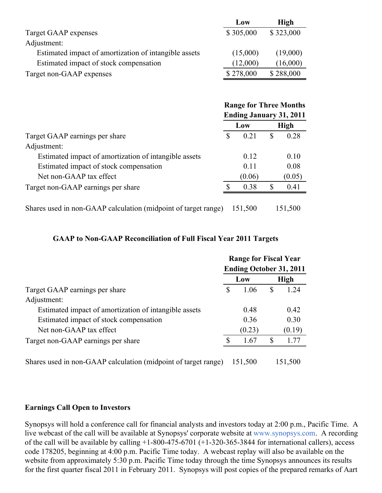|                                                       | Low       | <b>High</b> |
|-------------------------------------------------------|-----------|-------------|
| Target GAAP expenses                                  | \$305,000 | \$323,000   |
| Adjustment:                                           |           |             |
| Estimated impact of amortization of intangible assets | (15,000)  | (19,000)    |
| Estimated impact of stock compensation                | (12,000)  | (16,000)    |
| Target non-GAAP expenses                              | \$278,000 | \$288,000   |

|                                                                | <b>Range for Three Months</b> |                                |   |             |  |
|----------------------------------------------------------------|-------------------------------|--------------------------------|---|-------------|--|
|                                                                |                               | <b>Ending January 31, 2011</b> |   |             |  |
|                                                                |                               | Low                            |   | <b>High</b> |  |
| Target GAAP earnings per share                                 | S                             | 0.21                           | S | 0.28        |  |
| Adjustment:                                                    |                               |                                |   |             |  |
| Estimated impact of amortization of intangible assets          |                               | 0.12                           |   | 0.10        |  |
| Estimated impact of stock compensation                         |                               | 0.11                           |   | 0.08        |  |
| Net non-GAAP tax effect                                        |                               | (0.06)                         |   | (0.05)      |  |
| Target non-GAAP earnings per share                             | £.                            | 0.38                           | S | 0.41        |  |
|                                                                |                               |                                |   |             |  |
| Shares used in non-GAAP calculation (midpoint of target range) |                               | 151,500                        |   | 151,500     |  |

## **GAAP to Non-GAAP Reconciliation of Full Fiscal Year 2011 Targets**

|                                                                |     | <b>Range for Fiscal Year</b><br><b>Ending October 31, 2011</b> |    |             |  |
|----------------------------------------------------------------|-----|----------------------------------------------------------------|----|-------------|--|
|                                                                |     | Low                                                            |    | <b>High</b> |  |
| Target GAAP earnings per share                                 | \$  | 1.06                                                           | \$ | 1.24        |  |
| Adjustment:                                                    |     |                                                                |    |             |  |
| Estimated impact of amortization of intangible assets          |     | 0.48                                                           |    | 0.42        |  |
| Estimated impact of stock compensation                         |     | 0.36                                                           |    | 0.30        |  |
| Net non-GAAP tax effect                                        |     | (0.23)                                                         |    | (0.19)      |  |
| Target non-GAAP earnings per share                             | \$. | 1.67                                                           | S  | 1.77        |  |
| Shares used in non-GAAP calculation (midpoint of target range) |     | 151,500                                                        |    | 151,500     |  |

#### **Earnings Call Open to Investors**

Synopsys will hold a conference call for financial analysts and investors today at 2:00 p.m., Pacific Time. A live webcast of the call will be available at Synopsys' corporate website at [www.synopsys.com](http://www.synopsys.com). A recording of the call will be available by calling +1-800-475-6701 (+1-320-365-3844 for international callers), access code 178205, beginning at 4:00 p.m. Pacific Time today. A webcast replay will also be available on the website from approximately 5:30 p.m. Pacific Time today through the time Synopsys announces its results for the first quarter fiscal 2011 in February 2011. Synopsys will post copies of the prepared remarks of Aart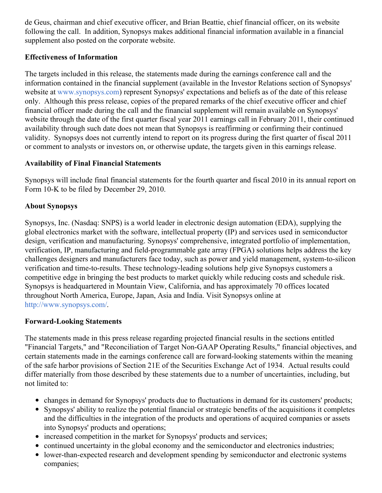de Geus, chairman and chief executive officer, and Brian Beattie, chief financial officer, on its website following the call. In addition, Synopsys makes additional financial information available in a financial supplement also posted on the corporate website.

#### **Effectiveness of Information**

The targets included in this release, the statements made during the earnings conference call and the information contained in the financial supplement (available in the Investor Relations section of Synopsys' website at [www.synopsys.com](http://www.synopsys.com/)) represent Synopsys' expectations and beliefs as of the date of this release only. Although this press release, copies of the prepared remarks of the chief executive officer and chief financial officer made during the call and the financial supplement will remain available on Synopsys' website through the date of the first quarter fiscal year 2011 earnings call in February 2011, their continued availability through such date does not mean that Synopsys is reaffirming or confirming their continued validity. Synopsys does not currently intend to report on its progress during the first quarter of fiscal 2011 or comment to analysts or investors on, or otherwise update, the targets given in this earnings release.

#### **Availability of Final Financial Statements**

Synopsys will include final financial statements for the fourth quarter and fiscal 2010 in its annual report on Form 10-K to be filed by December 29, 2010.

#### **About Synopsys**

Synopsys, Inc. (Nasdaq: SNPS) is a world leader in electronic design automation (EDA), supplying the global electronics market with the software, intellectual property (IP) and services used in semiconductor design, verification and manufacturing. Synopsys' comprehensive, integrated portfolio of implementation, verification, IP, manufacturing and field-programmable gate array (FPGA) solutions helps address the key challenges designers and manufacturers face today, such as power and yield management, system-to-silicon verification and time-to-results. These technology-leading solutions help give Synopsys customers a competitive edge in bringing the best products to market quickly while reducing costs and schedule risk. Synopsys is headquartered in Mountain View, California, and has approximately 70 offices located throughout North America, Europe, Japan, Asia and India. Visit Synopsys online at <http://www.synopsys.com/>.

#### **Forward-Looking Statements**

The statements made in this press release regarding projected financial results in the sections entitled "Financial Targets," and "Reconciliation of Target Non-GAAP Operating Results," financial objectives, and certain statements made in the earnings conference call are forward-looking statements within the meaning of the safe harbor provisions of Section 21E of the Securities Exchange Act of 1934. Actual results could differ materially from those described by these statements due to a number of uncertainties, including, but not limited to:

- changes in demand for Synopsys' products due to fluctuations in demand for its customers' products;
- Synopsys' ability to realize the potential financial or strategic benefits of the acquisitions it completes and the difficulties in the integration of the products and operations of acquired companies or assets into Synopsys' products and operations;
- increased competition in the market for Synopsys' products and services;
- continued uncertainty in the global economy and the semiconductor and electronics industries;
- lower-than-expected research and development spending by semiconductor and electronic systems companies;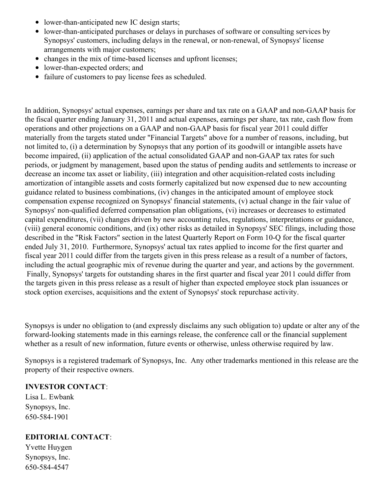- lower-than-anticipated new IC design starts;
- lower-than-anticipated purchases or delays in purchases of software or consulting services by Synopsys' customers, including delays in the renewal, or non-renewal, of Synopsys' license arrangements with major customers;
- changes in the mix of time-based licenses and upfront licenses:
- lower-than-expected orders; and
- failure of customers to pay license fees as scheduled.

In addition, Synopsys' actual expenses, earnings per share and tax rate on a GAAP and non-GAAP basis for the fiscal quarter ending January 31, 2011 and actual expenses, earnings per share, tax rate, cash flow from operations and other projections on a GAAP and non-GAAP basis for fiscal year 2011 could differ materially from the targets stated under "Financial Targets" above for a number of reasons, including, but not limited to, (i) a determination by Synopsys that any portion of its goodwill or intangible assets have become impaired, (ii) application of the actual consolidated GAAP and non-GAAP tax rates for such periods, or judgment by management, based upon the status of pending audits and settlements to increase or decrease an income tax asset or liability, (iii) integration and other acquisition-related costs including amortization of intangible assets and costs formerly capitalized but now expensed due to new accounting guidance related to business combinations, (iv) changes in the anticipated amount of employee stock compensation expense recognized on Synopsys' financial statements, (v) actual change in the fair value of Synopsys' non-qualified deferred compensation plan obligations, (vi) increases or decreases to estimated capital expenditures, (vii) changes driven by new accounting rules, regulations, interpretations or guidance, (viii) general economic conditions, and (ix) other risks as detailed in Synopsys' SEC filings, including those described in the "Risk Factors" section in the latest Quarterly Report on Form 10-Q for the fiscal quarter ended July 31, 2010. Furthermore, Synopsys' actual tax rates applied to income for the first quarter and fiscal year 2011 could differ from the targets given in this press release as a result of a number of factors, including the actual geographic mix of revenue during the quarter and year, and actions by the government. Finally, Synopsys' targets for outstanding shares in the first quarter and fiscal year 2011 could differ from the targets given in this press release as a result of higher than expected employee stock plan issuances or stock option exercises, acquisitions and the extent of Synopsys' stock repurchase activity.

Synopsys is under no obligation to (and expressly disclaims any such obligation to) update or alter any of the forward-looking statements made in this earnings release, the conference call or the financial supplement whether as a result of new information, future events or otherwise, unless otherwise required by law.

Synopsys is a registered trademark of Synopsys, Inc. Any other trademarks mentioned in this release are the property of their respective owners.

#### **INVESTOR CONTACT**:

Lisa L. Ewbank Synopsys, Inc. 650-584-1901

#### **EDITORIAL CONTACT**:

Yvette Huygen Synopsys, Inc. 650-584-4547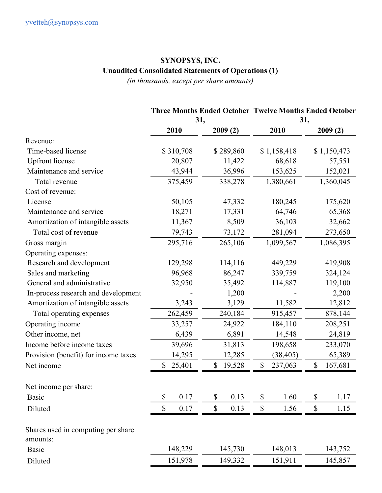#### **SYNOPSYS, INC. Unaudited Consolidated Statements of Operations (1)**

*(in thousands, except per share amounts)*

## **Three Months Ended October Twelve Months Ended October 31, 31, 2010 2009 (2) 2010 2009 (2)** Revenue: Time-based license \$ 310,708 \$ 289,860 \$ 1,158,418 \$ 1,150,473 Upfront license 20,807 11,422 68,618 57,551 Maintenance and service 43,944 36,996 153,625 152,021 Total revenue 375,459 338,278 1,380,661 1,360,045 Cost of revenue: License 50,105 47,332 180,245 175,620 Maintenance and service 18,271 17,331 64,746 65,368 Amortization of intangible assets 11,367 8,509 36,103 32,662 Total cost of revenue 79,743 73,172 281,094 273,650 Gross margin 295,716 265,106 1,099,567 1,086,395 Operating expenses: Research and development 129,298 114,116 449,229 419,908 Sales and marketing  $96,968$   $86,247$   $339,759$   $324,124$ General and administrative 32,950 35,492 114,887 119,100 In-process research and development  $1,200$  - 2,200 Amortization of intangible assets 3,243 3,129 11,582 12,812 Total operating expenses 262,459 240,184 915,457 878,144 Operating income 33,257 24,922 184,110 208,251 Other income, net 6,439 6,891 14,548 24,819 Income before income taxes 39,696 31,813 198,658 233,070 Provision (benefit) for income taxes 14,295 12,285 (38,405) 65,389 Net income \$ 25,401 \$ 19,528 \$ 237,063 \$ 167,681 Net income per share: Basic \$ 0.17 \$ 0.13 \$ 1.60 \$ 1.17 Diluted \$ 0.17 \$ 0.13 \$ 1.56 \$ 1.15 Shares used in computing per share amounts: Basic 148,229 145,730 148,013 143,752 Diluted 151,978 149,332 151,911 145,857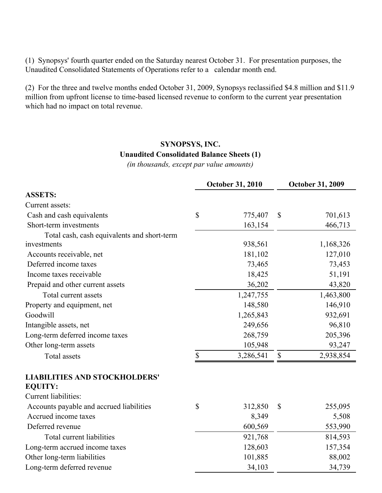(1) Synopsys' fourth quarter ended on the Saturday nearest October 31. For presentation purposes, the Unaudited Consolidated Statements of Operations refer to a calendar month end.

(2) For the three and twelve months ended October 31, 2009, Synopsys reclassified \$4.8 million and \$11.9 million from upfront license to time-based licensed revenue to conform to the current year presentation which had no impact on total revenue.

### **SYNOPSYS, INC.**

#### **Unaudited Consolidated Balance Sheets (1)**

*(in thousands, except par value amounts)*

|                                                        | October 31, 2010 |              | <b>October 31, 2009</b> |
|--------------------------------------------------------|------------------|--------------|-------------------------|
| <b>ASSETS:</b>                                         |                  |              |                         |
| Current assets:                                        |                  |              |                         |
| Cash and cash equivalents                              | \$<br>775,407    | \$           | 701,613                 |
| Short-term investments                                 | 163,154          |              | 466,713                 |
| Total cash, cash equivalents and short-term            |                  |              |                         |
| investments                                            | 938,561          |              | 1,168,326               |
| Accounts receivable, net                               | 181,102          |              | 127,010                 |
| Deferred income taxes                                  | 73,465           |              | 73,453                  |
| Income taxes receivable                                | 18,425           |              | 51,191                  |
| Prepaid and other current assets                       | 36,202           |              | 43,820                  |
| Total current assets                                   | 1,247,755        |              | 1,463,800               |
| Property and equipment, net                            | 148,580          |              | 146,910                 |
| Goodwill                                               | 1,265,843        |              | 932,691                 |
| Intangible assets, net                                 | 249,656          |              | 96,810                  |
| Long-term deferred income taxes                        | 268,759          |              | 205,396                 |
| Other long-term assets                                 | 105,948          |              | 93,247                  |
| Total assets                                           | \$<br>3,286,541  | \$           | 2,938,854               |
| <b>LIABILITIES AND STOCKHOLDERS'</b><br><b>EQUITY:</b> |                  |              |                         |
| Current liabilities:                                   |                  |              |                         |
| Accounts payable and accrued liabilities               | \$<br>312,850    | $\mathbb{S}$ | 255,095                 |
| Accrued income taxes                                   | 8,349            |              | 5,508                   |
| Deferred revenue                                       | 600,569          |              | 553,990                 |
| Total current liabilities                              | 921,768          |              | 814,593                 |
| Long-term accrued income taxes                         | 128,603          |              | 157,354                 |
| Other long-term liabilities                            | 101,885          |              | 88,002                  |
| Long-term deferred revenue                             | 34,103           |              | 34,739                  |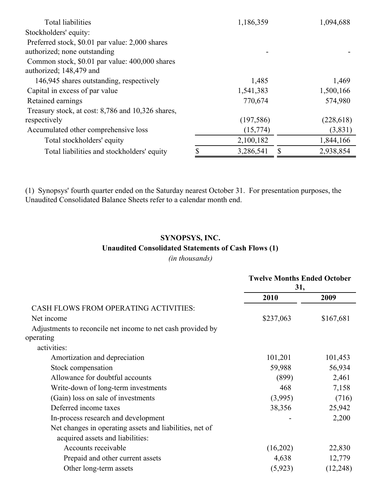| 1,186,359  | 1,094,688  |
|------------|------------|
|            |            |
|            |            |
|            |            |
|            |            |
|            |            |
| 1,485      | 1,469      |
| 1,541,383  | 1,500,166  |
| 770,674    | 574,980    |
|            |            |
| (197, 586) | (228, 618) |
| (15,774)   | (3,831)    |
| 2,100,182  | 1,844,166  |
| 3,286,541  | 2,938,854  |
|            |            |

(1) Synopsys' fourth quarter ended on the Saturday nearest October 31. For presentation purposes, the Unaudited Consolidated Balance Sheets refer to a calendar month end.

## **SYNOPSYS, INC. Unaudited Consolidated Statements of Cash Flows (1)**

*(in thousands)*

|                                                             | <b>Twelve Months Ended October</b><br>31, |           |  |
|-------------------------------------------------------------|-------------------------------------------|-----------|--|
|                                                             | 2010                                      | 2009      |  |
| <b>CASH FLOWS FROM OPERATING ACTIVITIES:</b>                |                                           |           |  |
| Net income                                                  | \$237,063                                 | \$167,681 |  |
| Adjustments to reconcile net income to net cash provided by |                                           |           |  |
| operating                                                   |                                           |           |  |
| activities:                                                 |                                           |           |  |
| Amortization and depreciation                               | 101,201                                   | 101,453   |  |
| Stock compensation                                          | 59,988                                    | 56,934    |  |
| Allowance for doubtful accounts                             | (899)                                     | 2,461     |  |
| Write-down of long-term investments                         | 468                                       | 7,158     |  |
| (Gain) loss on sale of investments                          | (3,995)                                   | (716)     |  |
| Deferred income taxes                                       | 38,356                                    | 25,942    |  |
| In-process research and development                         |                                           | 2,200     |  |
| Net changes in operating assets and liabilities, net of     |                                           |           |  |
| acquired assets and liabilities:                            |                                           |           |  |
| Accounts receivable                                         | (16,202)                                  | 22,830    |  |
| Prepaid and other current assets                            | 4,638                                     | 12,779    |  |
| Other long-term assets                                      | (5, 923)                                  | (12, 248) |  |